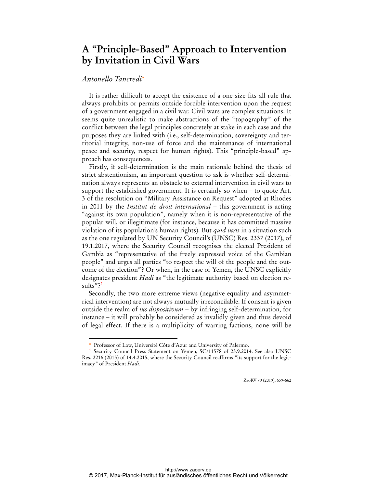## **A "Principle-Based" Approach to Intervention by Invitation in Civil Wars**

## *Antonello Tancredi*\*

 $\overline{a}$ 

It is rather difficult to accept the existence of a one-size-fits-all rule that always prohibits or permits outside forcible intervention upon the request of a government engaged in a civil war. Civil wars are complex situations. It seems quite unrealistic to make abstractions of the "topography" of the conflict between the legal principles concretely at stake in each case and the purposes they are linked with (i.e., self-determination, sovereignty and territorial integrity, non-use of force and the maintenance of international peace and security, respect for human rights). This "principle-based" approach has consequences.

Firstly, if self-determination is the main rationale behind the thesis of strict abstentionism, an important question to ask is whether self-determination always represents an obstacle to external intervention in civil wars to support the established government. It is certainly so when – to quote Art. 3 of the resolution on "Military Assistance on Request" adopted at Rhodes in 2011 by the *Institut de droit international* – this government is acting "against its own population", namely when it is non-representative of the popular will, or illegitimate (for instance, because it has committed massive violation of its population's human rights). But *quid iuris* in a situation such as the one regulated by UN Security Council's (UNSC) Res. 2337 (2017), of 19.1.2017, where the Security Council recognises the elected President of Gambia as "representative of the freely expressed voice of the Gambian people" and urges all parties "to respect the will of the people and the outcome of the election"? Or when, in the case of Yemen, the UNSC explicitly designates president *Hadi* as "the legitimate authority based on election results"?<sup>1</sup>

Secondly, the two more extreme views (negative equality and asymmetrical intervention) are not always mutually irreconcilable. If consent is given outside the realm of *ius dispositivum* – by infringing self-determination, for instance – it will probably be considered as invalidly given and thus devoid of legal effect. If there is a multiplicity of warring factions, none will be

ZaöRV 79 (2019), 659-662

Professor of Law, Université Côte d'Azur and University of Palermo.

Security Council Press Statement on Yemen, SC/11578 of 23.9.2014. See also UNSC Res. 2216 (2015) of 14.4.2015, where the Security Council reaffirms "its support for the legitimacy" of President *Hadi*.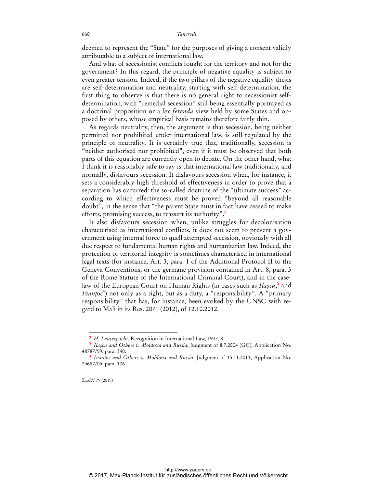deemed to represent the "State" for the purposes of giving a consent validly attributable to a subject of international law.

And what of secessionist conflicts fought for the territory and not for the government? In this regard, the principle of negative equality is subject to even greater tension. Indeed, if the two pillars of the negative equality thesis are self-determination and neutrality, starting with self-determination, the first thing to observe is that there is no general right to secessionist selfdetermination, with "remedial secession" still being essentially portrayed as a doctrinal proposition or a *lex ferenda* view held by some States and opposed by others, whose empirical basis remains therefore fairly thin.

As regards neutrality, then, the argument is that secession, being neither permitted nor prohibited under international law, is still regulated by the principle of neutrality. It is certainly true that, traditionally, secession is "neither authorised nor prohibited", even if it must be observed that both parts of this equation are currently open to debate. On the other hand, what I think it is reasonably safe to say is that international law traditionally, and normally, disfavours secession. It disfavours secession when, for instance, it sets a considerably high threshold of effectiveness in order to prove that a separation has occurred: the so-called doctrine of the "ultimate success" according to which effectiveness must be proved "beyond all reasonable doubt", in the sense that "the parent State must in fact have ceased to make efforts, promising success, to reassert its authority".<sup>2</sup>

It also disfavours secession when, unlike struggles for decolonisation characterised as international conflicts, it does not seem to prevent a government using internal force to quell attempted secession, obviously with all due respect to fundamental human rights and humanitarian law. Indeed, the protection of territorial integrity is sometimes characterised in international legal texts (for instance, Art. 3, para. 1 of the Additional Protocol II to the Geneva Conventions, or the germane provision contained in Art. 8, para. 3 of the Rome Statute of the International Criminal Court), and in the caselaw of the European Court on Human Rights (in cases such as *Ilaşcu*, 3 and *Ivanţoc*<sup>4</sup> ) not only as a right, but as a duty, a "responsibility". A "primary responsibility" that has, for instance, been evoked by the UNSC with regard to Mali in its Res. 2071 (2012), of 12.10.2012.

ZaöRV 79 (2019)

 $\overline{a}$ 

<sup>2</sup> *H. Lauterpacht*, Recognition in International Law, 1947, 8.

<sup>3</sup> *Ilaşcu and Others v. Moldova and Russia*, Judgment of 8.7.2004 (GC), Application No. 48787/99, para. 340.

<sup>4</sup> *Ivanţoc and Others v. Moldova and Russia*, Judgment of 15.11.2011, Application No. 23687/05, para. 106.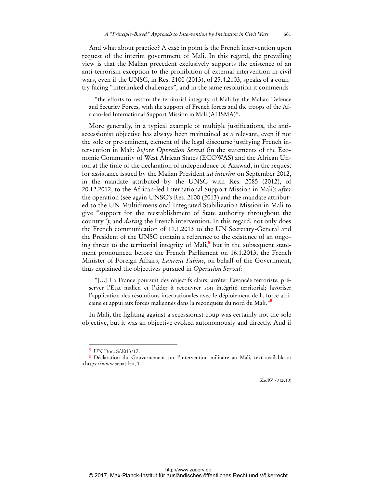And what about practice? A case in point is the French intervention upon request of the interim government of Mali. In this regard, the prevailing view is that the Malian precedent exclusively supports the existence of an anti-terrorism exception to the prohibition of external intervention in civil wars, even if the UNSC, in Res. 2100 (2013), of 25.4.2103, speaks of a country facing "interlinked challenges", and in the same resolution it commends

"the efforts to restore the territorial integrity of Mali by the Malian Defence and Security Forces, with the support of French forces and the troops of the African-led International Support Mission in Mali (AFISMA)".

More generally, in a typical example of multiple justifications, the antisecessionist objective has always been maintained as a relevant, even if not the sole or pre-eminent, element of the legal discourse justifying French intervention in Mali: *before Operation Serval* (in the statements of the Economic Community of West African States (ECOWAS) and the African Union at the time of the declaration of independence of Azawad, in the request for assistance issued by the Malian President *ad interim* on September 2012, in the mandate attributed by the UNSC with Res. 2085 (2012), of 20.12.2012, to the African-led International Support Mission in Mali); *after* the operation (see again UNSC's Res. 2100 (2013) and the mandate attributed to the UN Multidimensional Integrated Stabilization Mission in Mali to give "support for the reestablishment of State authority throughout the country"); and *during* the French intervention. In this regard, not only does the French communication of 11.1.2013 to the UN Secretary-General and the President of the UNSC contain a reference to the existence of an ongoing threat to the territorial integrity of Mali,<sup>5</sup> but in the subsequent statement pronounced before the French Parliament on 16.1.2013, the French Minister of Foreign Affairs, *Laurent Fabius*, on behalf of the Government, thus explained the objectives pursued in *Operation Serval*:

"[…] La France poursuit des objectifs clairs: arrêter l'avancée terroriste; préserver l'Etat malien et l'aider à recouvrer son intégrité territorial; favoriser l'application des résolutions internationales avec le déploiement de la force africaine et appui aux forces maliennes dans la reconquête du nord du Mali."<sup>6</sup>

In Mali, the fighting against a secessionist coup was certainly not the sole objective, but it was an objective evoked autonomously and directly. And if

 $\overline{a}$ 

ZaöRV 79 (2019)

<sup>5</sup> UN Doc. S/2013/17.

<sup>6</sup> Déclaration du Gouvernement sur l'intervention militaire au Mali, text available at <https://www.senat.fr>, 1.